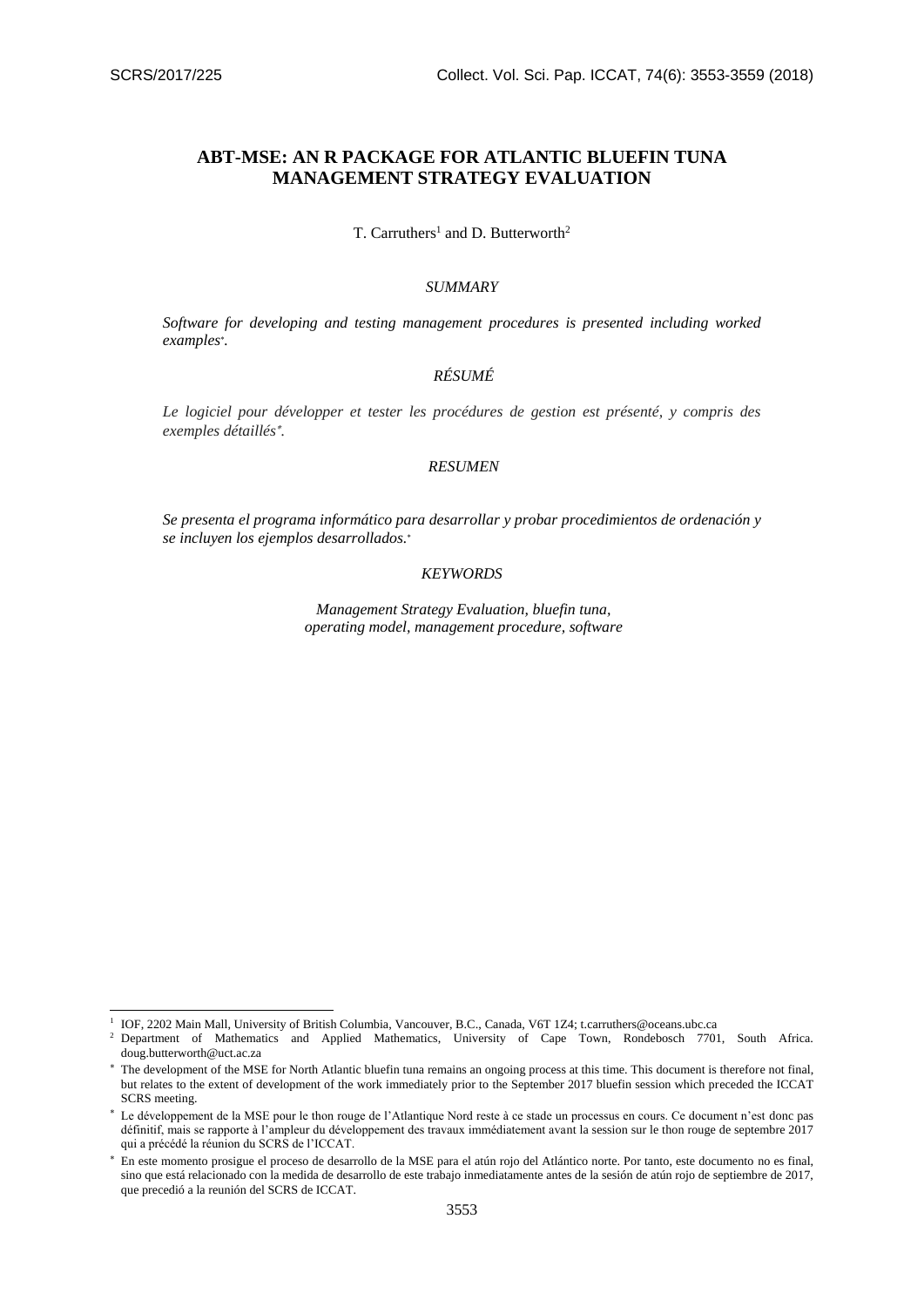-

# **ABT-MSE: AN R PACKAGE FOR ATLANTIC BLUEFIN TUNA MANAGEMENT STRATEGY EVALUATION**

T. Carruthers<sup>1</sup> and D. Butterworth<sup>2</sup>

# *SUMMARY*

*Software for developing and testing management procedures is presented including worked examples .* 

### *RÉSUMÉ*

*Le logiciel pour développer et tester les procédures de gestion est présenté, y compris des exemples détaillés .* 

### *RESUMEN*

*Se presenta el programa informático para desarrollar y probar procedimientos de ordenación y se incluyen los ejemplos desarrollados.*

#### *KEYWORDS*

*Management Strategy Evaluation, bluefin tuna, operating model, management procedure, software*

<sup>1</sup> IOF, 2202 Main Mall, University of British Columbia, Vancouver, B.C., Canada, V6T 1Z4; [t.carruthers@oceans.ubc.ca](mailto:t.carruthers@oceans.ubc.ca)

<sup>2</sup> Department of Mathematics and Applied Mathematics, University of Cape Town, Rondebosch 7701, South Africa. doug.butterworth@uct.ac.za

<sup>\*</sup> The development of the MSE for North Atlantic bluefin tuna remains an ongoing process at this time. This document is therefore not final, but relates to the extent of development of the work immediately prior to the September 2017 bluefin session which preceded the ICCAT SCRS meeting.

Le développement de la MSE pour le thon rouge de l'Atlantique Nord reste à ce stade un processus en cours. Ce document n'est donc pas définitif, mais se rapporte à l'ampleur du développement des travaux immédiatement avant la session sur le thon rouge de septembre 2017 qui a précédé la réunion du SCRS de l'ICCAT.

En este momento prosigue el proceso de desarrollo de la MSE para el atún rojo del Atlántico norte. Por tanto, este documento no es final, sino que está relacionado con la medida de desarrollo de este trabajo inmediatamente antes de la sesión de atún rojo de septiembre de 2017, que precedió a la reunión del SCRS de ICCAT.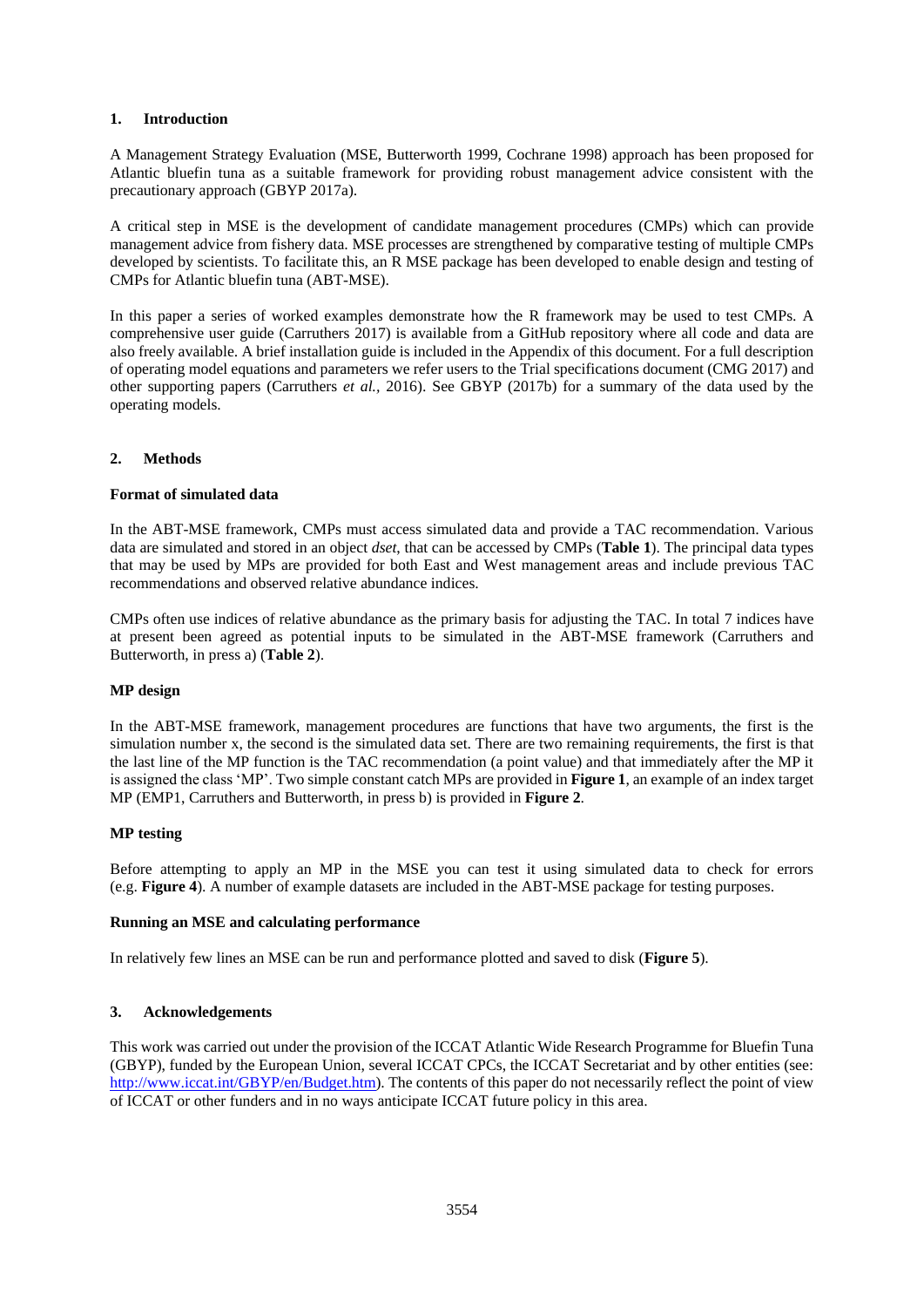### **1. Introduction**

A Management Strategy Evaluation (MSE, Butterworth 1999, Cochrane 1998) approach has been proposed for Atlantic bluefin tuna as a suitable framework for providing robust management advice consistent with the precautionary approach (GBYP 2017a).

A critical step in MSE is the development of candidate management procedures (CMPs) which can provide management advice from fishery data. MSE processes are strengthened by comparative testing of multiple CMPs developed by scientists. To facilitate this, an R MSE package has been developed to enable design and testing of CMPs for Atlantic bluefin tuna (ABT-MSE).

In this paper a series of worked examples demonstrate how the R framework may be used to test CMPs. A comprehensive user guide (Carruthers 2017) is available from a GitHub repository where all code and data are also freely available. A brief installation guide is included in the Appendix of this document. For a full description of operating model equations and parameters we refer users to the Trial specifications document (CMG 2017) and other supporting papers (Carruthers *et al.,* 2016). See GBYP (2017b) for a summary of the data used by the operating models.

### **2. Methods**

### **Format of simulated data**

In the ABT-MSE framework, CMPs must access simulated data and provide a TAC recommendation. Various data are simulated and stored in an object *dset*, that can be accessed by CMPs (**Table 1**). The principal data types that may be used by MPs are provided for both East and West management areas and include previous TAC recommendations and observed relative abundance indices.

CMPs often use indices of relative abundance as the primary basis for adjusting the TAC. In total 7 indices have at present been agreed as potential inputs to be simulated in the ABT-MSE framework (Carruthers and Butterworth, in press a) (**Table 2**).

### **MP design**

In the ABT-MSE framework, management procedures are functions that have two arguments, the first is the simulation number x, the second is the simulated data set. There are two remaining requirements, the first is that the last line of the MP function is the TAC recommendation (a point value) and that immediately after the MP it is assigned the class 'MP'. Two simple constant catch MPs are provided in **Figure 1**, an example of an index target MP (EMP1, Carruthers and Butterworth, in press b) is provided in **Figure 2**.

#### **MP testing**

Before attempting to apply an MP in the MSE you can test it using simulated data to check for errors (e.g. **Figure 4**). A number of example datasets are included in the ABT-MSE package for testing purposes.

#### **Running an MSE and calculating performance**

In relatively few lines an MSE can be run and performance plotted and saved to disk (**Figure 5**).

### **3. Acknowledgements**

This work was carried out under the provision of the ICCAT Atlantic Wide Research Programme for Bluefin Tuna (GBYP), funded by the European Union, several ICCAT CPCs, the ICCAT Secretariat and by other entities (see: [http://www.iccat.int/GBYP/en/Budget.htm\)](http://www.iccat.int/GBYP/en/Budget.htm). The contents of this paper do not necessarily reflect the point of view of ICCAT or other funders and in no ways anticipate ICCAT future policy in this area.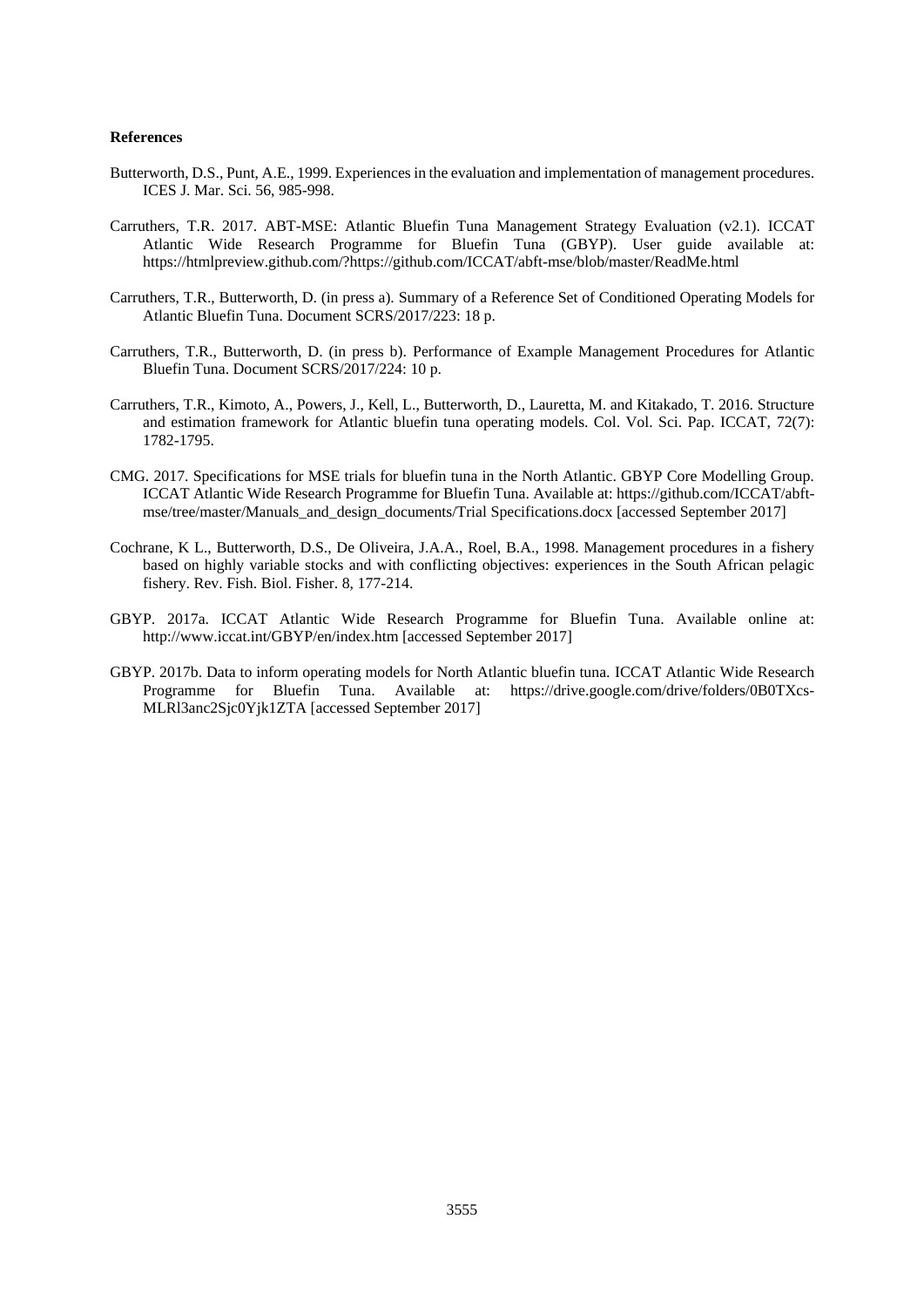#### **References**

- Butterworth, D.S., Punt, A.E., 1999. Experiences in the evaluation and implementation of management procedures. ICES J. Mar. Sci. 56, 985-998.
- Carruthers, T.R. 2017. ABT-MSE: Atlantic Bluefin Tuna Management Strategy Evaluation (v2.1). ICCAT Atlantic Wide Research Programme for Bluefin Tuna (GBYP). User guide available at: <https://htmlpreview.github.com/?https://github.com/ICCAT/abft-mse/blob/master/ReadMe.html>
- Carruthers, T.R., Butterworth, D. (in press a). Summary of a Reference Set of Conditioned Operating Models for Atlantic Bluefin Tuna. Document SCRS/2017/223: 18 p.
- Carruthers, T.R., Butterworth, D. (in press b). Performance of Example Management Procedures for Atlantic Bluefin Tuna. Document SCRS/2017/224: 10 p.
- Carruthers, T.R., Kimoto, A., Powers, J., Kell, L., Butterworth, D., Lauretta, M. and Kitakado, T. 2016. Structure and estimation framework for Atlantic bluefin tuna operating models. Col. Vol. Sci. Pap. ICCAT, 72(7): 1782-1795.
- CMG. 2017. Specifications for MSE trials for bluefin tuna in the North Atlantic. GBYP Core Modelling Group. ICCAT Atlantic Wide Research Programme for Bluefin Tuna. Available at[: https://github.com/ICCAT/abft](https://github.com/ICCAT/abft-mse/tree/master/Manuals_and_design_documents/Trial%20Specifications.docx)[mse/tree/master/Manuals\\_and\\_design\\_documents/Trial](https://github.com/ICCAT/abft-mse/tree/master/Manuals_and_design_documents/Trial%20Specifications.docx) Specifications.docx [accessed September 2017]
- Cochrane, K L., Butterworth, D.S., De Oliveira, J.A.A., Roel, B.A., 1998. Management procedures in a fishery based on highly variable stocks and with conflicting objectives: experiences in the South African pelagic fishery. Rev. Fish. Biol. Fisher. 8, 177-214.
- GBYP. 2017a. ICCAT Atlantic Wide Research Programme for Bluefin Tuna. Available online at: <http://www.iccat.int/GBYP/en/index.htm> [accessed September 2017]
- GBYP. 2017b. Data to inform operating models for North Atlantic bluefin tuna. ICCAT Atlantic Wide Research Programme for Bluefin Tuna. Available at: [https://drive.google.com/drive/folders/0B0TXcs-](https://drive.google.com/drive/folders/0B0TXcs-MLRl3anc2Sjc0Yjk1ZTA)[MLRl3anc2Sjc0Yjk1ZTA](https://drive.google.com/drive/folders/0B0TXcs-MLRl3anc2Sjc0Yjk1ZTA) [accessed September 2017]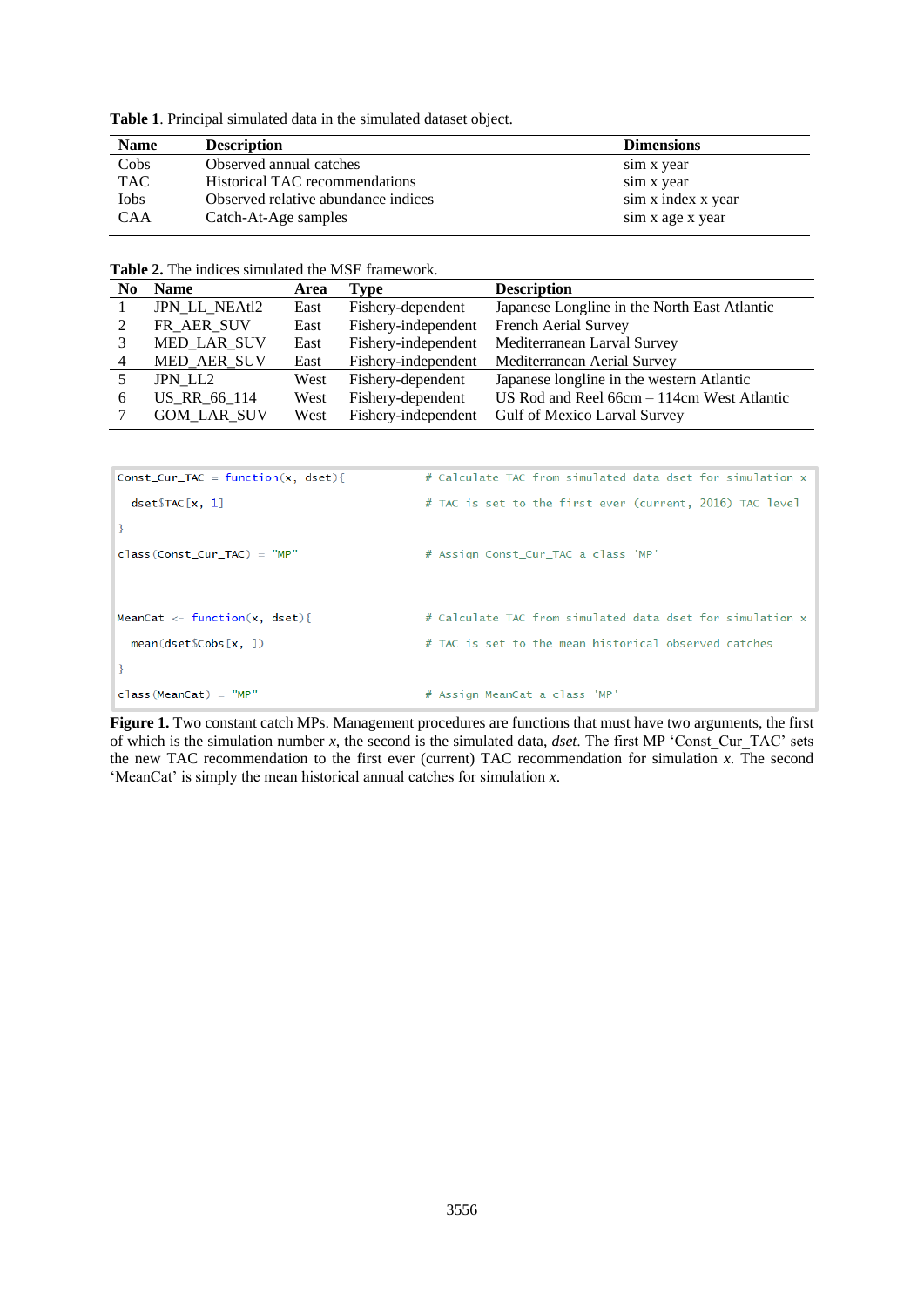**Table 1**. Principal simulated data in the simulated dataset object.

| <b>Name</b> | <b>Description</b>                  | <b>Dimensions</b>  |
|-------------|-------------------------------------|--------------------|
| Cobs        | Observed annual catches             | sim x year         |
| <b>TAC</b>  | Historical TAC recommendations      | sim x year         |
| Iobs        | Observed relative abundance indices | sim x index x year |
| <b>CAA</b>  | Catch-At-Age samples                | sim x age x year   |

|  |  |  |  |  |  | <b>Table 2.</b> The indices simulated the MSE framework. |
|--|--|--|--|--|--|----------------------------------------------------------|
|--|--|--|--|--|--|----------------------------------------------------------|

| No. | <b>Name</b>          | Area | Type                | <b>Description</b>                           |
|-----|----------------------|------|---------------------|----------------------------------------------|
|     | <b>JPN LL NEAtl2</b> | East | Fishery-dependent   | Japanese Longline in the North East Atlantic |
|     | FR_AER_SUV           | East | Fishery-independent | French Aerial Survey                         |
|     | MED LAR SUV          | East | Fishery-independent | Mediterranean Larval Survey                  |
| 4   | MED_AER_SUV          | East | Fishery-independent | Mediterranean Aerial Survey                  |
|     | JPN LL2              | West | Fishery-dependent   | Japanese longline in the western Atlantic    |
| 6   | US RR 66 114         | West | Fishery-dependent   | US Rod and Reel 66cm - 114cm West Atlantic   |
|     | <b>GOM LAR SUV</b>   | West | Fishery-independent | Gulf of Mexico Larval Survey                 |

```
# Calculate TAC from simulated data dset for simulation x
Const_Cur_TAC = function(x, dest)# TAC is set to the first ever (current, 2016) TAC level
  \texttt{dest}\TAC[x, 1]\overline{\mathbf{r}}class(Const_Curr_TAC) = "MP"# Assign Const_Cur_TAC a class 'MP'
MeanCat <- function(x, dset){
                                                   # Calculate TAC from simulated data dset for simulation x
  mean(dset\Cobs[x, ])
                                                   # TAC is set to the mean historical observed catches
\overline{\mathbf{B}}class(MeanCat) = "MP"# Assign MeanCat a class 'MP'
```
**Figure 1.** Two constant catch MPs. Management procedures are functions that must have two arguments, the first of which is the simulation number *x*, the second is the simulated data, *dset*. The first MP 'Const\_Cur\_TAC' sets the new TAC recommendation to the first ever (current) TAC recommendation for simulation *x*. The second 'MeanCat' is simply the mean historical annual catches for simulation *x*.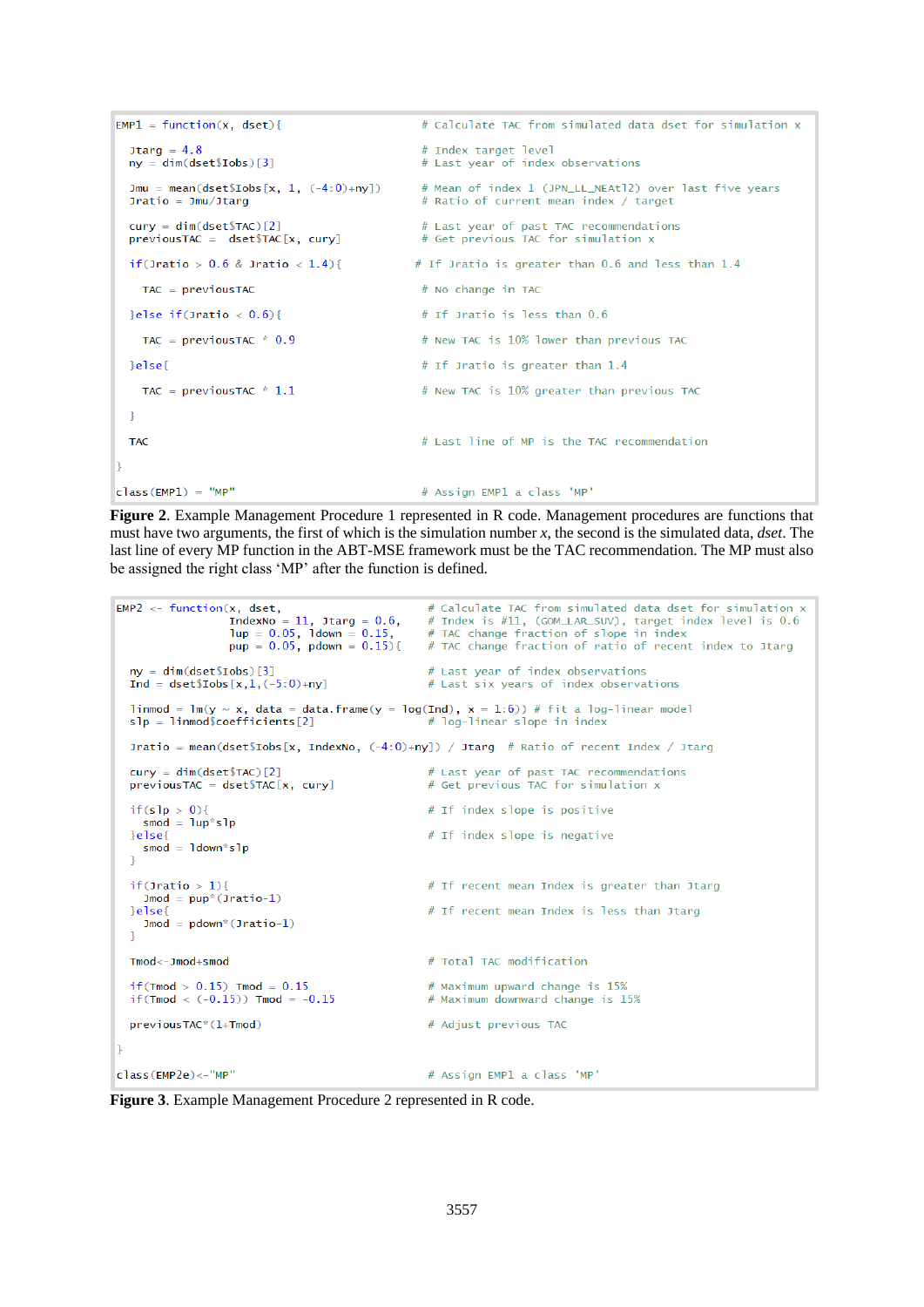```
EMP1 = function(x, dest)# Calculate TAC from simulated data dset for simulation x
  1tarq = 4.8
                                              # Index target level
  ny = dim(dset$Iobs)[3]# Last year of index observations
  Jmu = mean(dset$Iobs[x, 1, (-4:0)+ny])
                                               # Mean of index 1 (JPN_LL_NEAt12) over last five years
                                              # Ratio of current mean index / target
  Jratio = Jmu/Jtargcury = dim(dset$TAC) [2]# Last year of past TAC recommendations
  previousTAC = dset$TAC[x, cury]# Get previous TAC for simulation x
  if(Jratio > 0.6 & Jratio < 1.4){
                                             # If Jratio is greater than 0.6 and less than 1.4
    TAC = nrevionsTAC# No change in TAC
  }else if(Jratio < 0.6){
                                              # If Jratio is less than 0.6
                                              # New TAC is 10% lower than previous TAC
    TAC = previous TAC * 0.9
  \}else\{# If Jratio is greater than 1.4
   TAC = previous TAC * 1.1
                                              # New TAC is 10% greater than previous TAC
 \rightarrow# Last line of MP is the TAC recommendation
 TAC
I٦
class(EMP1) = "MP"# Assign EMP1 a class 'MP'
```
**Figure 2**. Example Management Procedure 1 represented in R code. Management procedures are functions that must have two arguments, the first of which is the simulation number *x*, the second is the simulated data, *dset*. The last line of every MP function in the ABT-MSE framework must be the TAC recommendation. The MP must also be assigned the right class 'MP' after the function is defined.

```
EMP2 \leftarrow function(x, dest,# Calculate TAC from simulated data dset for simulation x
                     IndexNo = 11, Jtarg = 0.6,<br>lup = 0.05, ldown = 0.15,
                                                           # Index is #11, (GOM_LAR_SUV), target for simulation x<br># Index is #11, (GOM_LAR_SUV), target idex level is 0.6<br># TAC change fraction of slope in index
                     pup = 0.05, pdown = 0.15}
                                                           # TAC change fraction of ratio of recent index to Jtarg
  ny = dim(dset$Iobs)[3]# Last year of index observations
  \text{Ind} = \text{dest}\$\text{Tools}[\text{x},1,(-5:0)+\text{ny}]# Last six years of index observations
  linmod = lm(y ~ x, data = data.frame(y = log(Ind), x = 1:6)) # fit a log-linear model<br>slp = linmod$coefficients[2] # log-linear slope in index
                                                            # log-linear slope in index
  Jratio = mean(dset$Iobs[x, IndexNo, (-4:0)+ny]) / Jtarg # Ratio of recent Index / Jtarg
                                                            # Last year of past TAC recommendations
  cury = dim(dset$TAC) [2]previousTAC = dest$TAC[x, cury]# Get previous TAC for simulation x
  if(s1p > 0)# If index slope is positive
     smod = \text{lup*slp}# If index slope is negative
  \text{leles}smod = 1down*slp
  \mathcal{L}if(Jratio > 1){
                                                            # If recent mean Index is greater than Jtarg
     \text{Jmod} = \text{pup}^*(\text{Jratio}-1)# If recent mean Index is less than Jtarg
  \text{leles}\texttt{Jmod} = \texttt{pdown}^*(\texttt{Jratio-1})\mathbf{r}# Total TAC modification
  Tmod < -Jmod + smodif (Tmod > 0.15) Tmod = 0.15# Maximum upward change is 15%
  if (\text{Tmod } < (-0.15)) \text{Tmod } = -0.15# Maximum downward change is 15%
  previousTAC*(1+Tmod)
                                                            # Adjust previous TAC
١z
clasc(FMP2e) \leq "MP"# Assign EMP1 a class 'MP'
```
**Figure 3**. Example Management Procedure 2 represented in R code.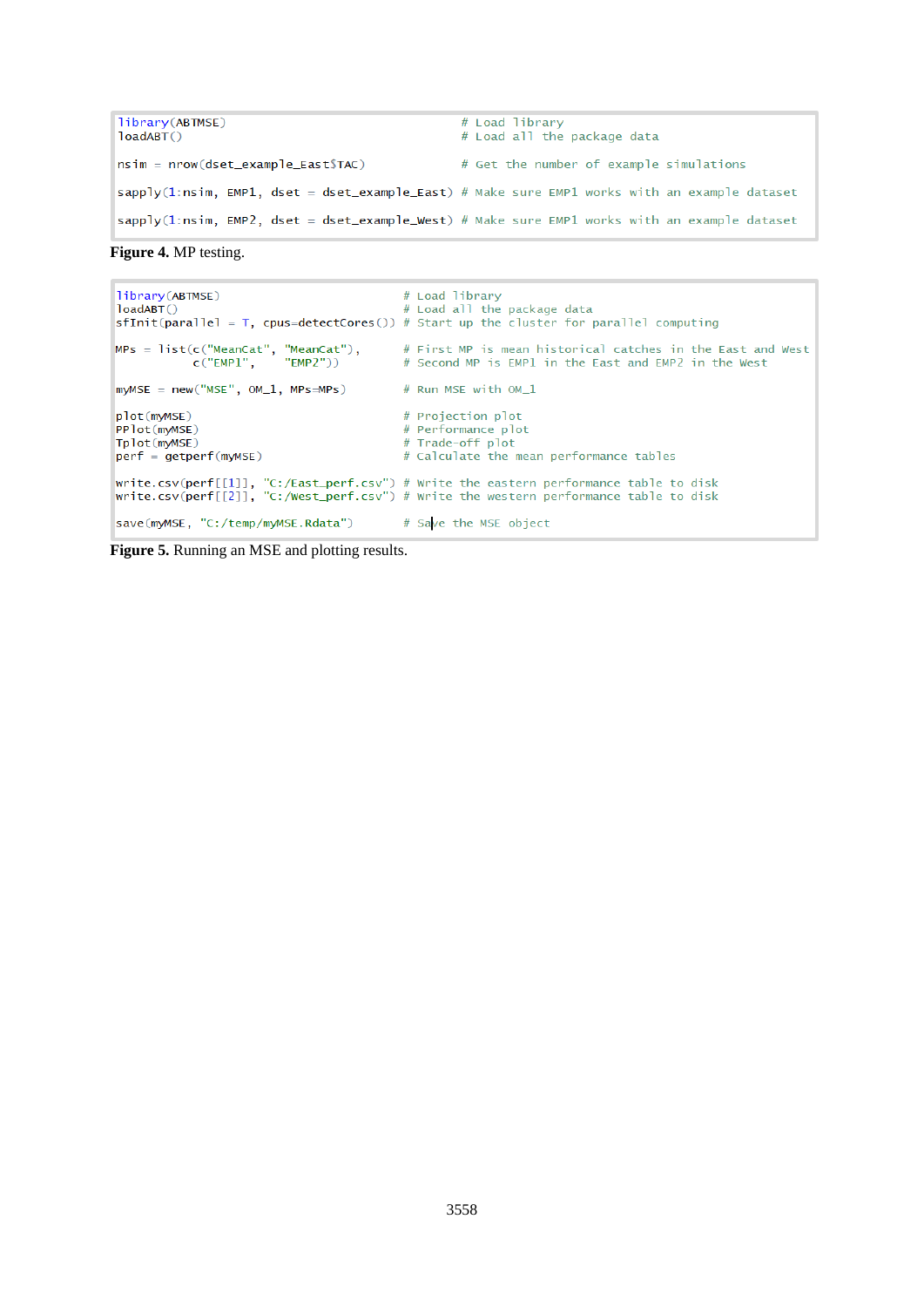```
library(ABTMSE)
                                               # Load library
loadABTO# Load all the package data
nsim = nrow(dset_example_East$TAC)# Get the number of example simulations
sapply(1:nsim, EMP1, dset = dset_example_East) # Make sure EMP1 works with an example dataset
sapply(1:nsim, EMP2, dset = dset_example_West) # Make sure EMP1 works with an example dataset
```
**Figure 4.** MP testing.

```
library(ABTMSE)
                                                       # Load library
loadABT()
                                                        # Load all the package data
sfInit(parallel = T, cpus=detectCores()) # Start up the cluster for parallel computing
\begin{aligned} \texttt{MPS} \ = \ \texttt{list}(\texttt{c}(\texttt{"MeanCat''}, \texttt{"MeanCat''}), \\ \texttt{c}(\texttt{"EMPI''}, \texttt{"EMP2''})) \end{aligned}# First MP is mean historical catches in the East and West
                                                       # Second MP is EMP1 in the East and EMP2 in the West
myMSE = new("MSE", OM_1, MPs=MPs)# Run MSE with OM 1
plot(myMSE)
                                                       # Projection plot
PPlot(myMSE)
                                                       # Performance plot
                                                       # Trade-off plot
Tplot(myMSE)
perf = getperf(myMSE)# Calculate the mean performance tables
write.csv(perf[[1]], "C:/East_perf.csv") # Write the eastern performance table to disk<br>write.csv(perf[[2]], "C:/West_perf.csv") # Write the western performance table to disk
save(myMSE, "C:/temp/myMSE.Rdata")
                                                       # Save the MSE object
```
**Figure 5.** Running an MSE and plotting results.